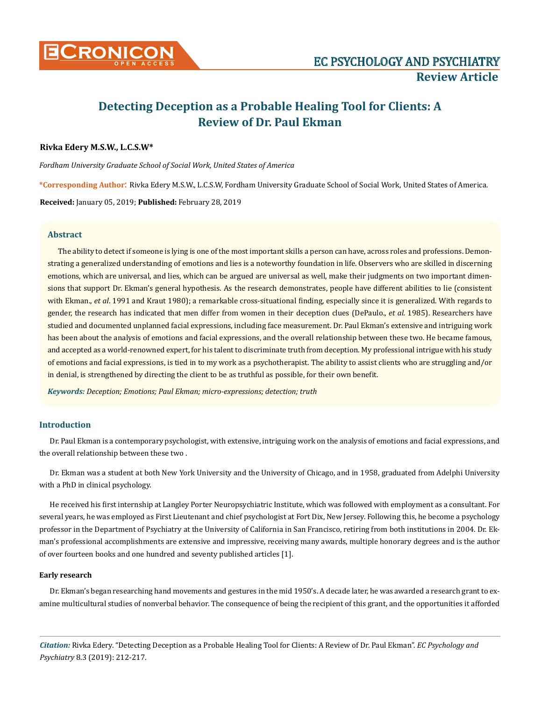

# **Detecting Deception as a Probable Healing Tool for Clients: A Review of Dr. Paul Ekman**

## **Rivka Edery M.S.W., L.C.S.W\***

*Fordham University Graduate School of Social Work, United States of America*

**\*Corresponding Author**: Rivka Edery M.S.W., L.C.S.W, Fordham University Graduate School of Social Work, United States of America.

**Received:** January 05, 2019; **Published:** February 28, 2019

## **Abstract**

The ability to detect if someone is lying is one of the most important skills a person can have, across roles and professions. Demonstrating a generalized understanding of emotions and lies is a noteworthy foundation in life. Observers who are skilled in discerning emotions, which are universal, and lies, which can be argued are universal as well, make their judgments on two important dimensions that support Dr. Ekman's general hypothesis. As the research demonstrates, people have different abilities to lie (consistent with Ekman., *et al*. 1991 and Kraut 1980); a remarkable cross-situational finding, especially since it is generalized. With regards to gender, the research has indicated that men differ from women in their deception clues (DePaulo., *et al.* 1985). Researchers have studied and documented unplanned facial expressions, including face measurement. Dr. Paul Ekman's extensive and intriguing work has been about the analysis of emotions and facial expressions, and the overall relationship between these two. He became famous, and accepted as a world-renowned expert, for his talent to discriminate truth from deception. My professional intrigue with his study of emotions and facial expressions, is tied in to my work as a psychotherapist. The ability to assist clients who are struggling and/or in denial, is strengthened by directing the client to be as truthful as possible, for their own benefit.

*Keywords: Deception; Emotions; Paul Ekman; micro-expressions; detection; truth*

## **Introduction**

Dr. Paul Ekman is a contemporary psychologist, with extensive, intriguing work on the analysis of emotions and facial expressions, and the overall relationship between these two .

Dr. Ekman was a student at both New York University and the University of Chicago, and in 1958, graduated from Adelphi University with a PhD in clinical psychology.

He received his first internship at Langley Porter Neuropsychiatric Institute, which was followed with employment as a consultant. For several years, he was employed as First Lieutenant and chief psychologist at Fort Dix, New Jersey. Following this, he become a psychology professor in the Department of Psychiatry at the University of California in San Francisco, retiring from both institutions in 2004. Dr. Ekman's professional accomplishments are extensive and impressive, receiving many awards, multiple honorary degrees and is the author of over fourteen books and one hundred and seventy published articles [1].

#### **Early research**

Dr. Ekman's began researching hand movements and gestures in the mid 1950's. A decade later, he was awarded a research grant to examine multicultural studies of nonverbal behavior. The consequence of being the recipient of this grant, and the opportunities it afforded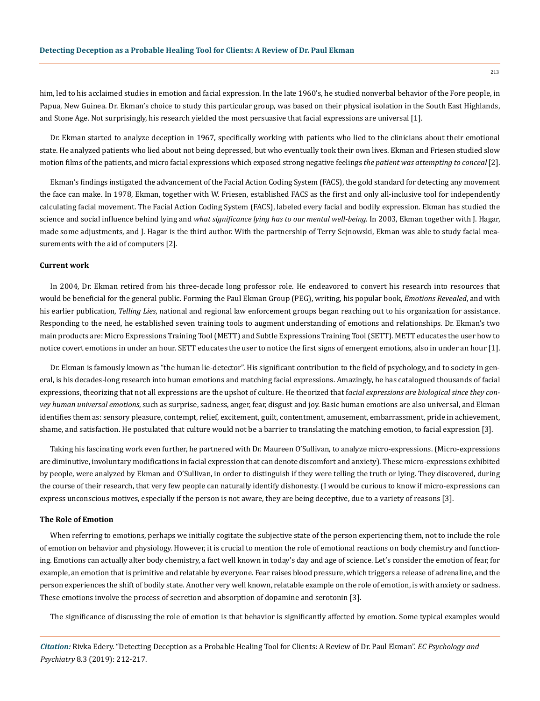him, led to his acclaimed studies in emotion and facial expression. In the late 1960's, he studied nonverbal behavior of the Fore people, in Papua, New Guinea. Dr. Ekman's choice to study this particular group, was based on their physical isolation in the South East Highlands, and Stone Age. Not surprisingly, his research yielded the most persuasive that facial expressions are universal [1].

Dr. Ekman started to analyze deception in 1967, specifically working with patients who lied to the clinicians about their emotional state. He analyzed patients who lied about not being depressed, but who eventually took their own lives. Ekman and Friesen studied slow motion films of the patients, and micro facial expressions which exposed strong negative feelings *the patient was attempting to conceal* [2].

Ekman's findings instigated the advancement of the Facial Action Coding System (FACS), the gold standard for detecting any movement the face can make. In 1978, Ekman, together with W. Friesen, established FACS as the first and only all-inclusive tool for independently calculating facial movement. The Facial Action Coding System (FACS), labeled every facial and bodily expression. Ekman has studied the science and social influence behind lying and *what significance lying has to our mental well-being*. In 2003, Ekman together with J. Hagar, made some adjustments, and J. Hagar is the third author. With the partnership of Terry Sejnowski, Ekman was able to study facial measurements with the aid of computers [2].

## **Current work**

In 2004, Dr. Ekman retired from his three-decade long professor role. He endeavored to convert his research into resources that would be beneficial for the general public. Forming the Paul Ekman Group (PEG), writing, his popular book, *Emotions Revealed*, and with his earlier publication, *Telling Lies*, national and regional law enforcement groups began reaching out to his organization for assistance. Responding to the need, he established seven training tools to augment understanding of emotions and relationships. Dr. Ekman's two main products are: Micro Expressions Training Tool (METT) and Subtle Expressions Training Tool (SETT). METT educates the user how to notice covert emotions in under an hour. SETT educates the user to notice the first signs of emergent emotions, also in under an hour [1].

Dr. Ekman is famously known as "the human lie-detector". His significant contribution to the field of psychology, and to society in general, is his decades-long research into human emotions and matching facial expressions. Amazingly, he has catalogued thousands of facial expressions, theorizing that not all expressions are the upshot of culture. He theorized that f*acial expressions are biological since they convey human universal emotions*, such as surprise, sadness, anger, fear, disgust and joy. Basic human emotions are also universal, and Ekman identifies them as: sensory pleasure, contempt, relief, excitement, guilt, contentment, amusement, embarrassment, pride in achievement, shame, and satisfaction. He postulated that culture would not be a barrier to translating the matching emotion, to facial expression [3].

Taking his fascinating work even further, he partnered with Dr. Maureen O'Sullivan, to analyze micro-expressions. (Micro-expressions are diminutive, involuntary modifications in facial expression that can denote discomfort and anxiety). These micro-expressions exhibited by people, were analyzed by Ekman and O'Sullivan, in order to distinguish if they were telling the truth or lying. They discovered, during the course of their research, that very few people can naturally identify dishonesty. (I would be curious to know if micro-expressions can express unconscious motives, especially if the person is not aware, they are being deceptive, due to a variety of reasons [3].

#### **The Role of Emotion**

When referring to emotions, perhaps we initially cogitate the subjective state of the person experiencing them, not to include the role of emotion on behavior and physiology. However, it is crucial to mention the role of emotional reactions on body chemistry and functioning. Emotions can actually alter body chemistry, a fact well known in today's day and age of science. Let's consider the emotion of fear, for example, an emotion that is primitive and relatable by everyone. Fear raises blood pressure, which triggers a release of adrenaline, and the person experiences the shift of bodily state. Another very well known, relatable example on the role of emotion, is with anxiety or sadness. These emotions involve the process of secretion and absorption of dopamine and serotonin [3].

The significance of discussing the role of emotion is that behavior is significantly affected by emotion. Some typical examples would

*Citation:* Rivka Edery. "Detecting Deception as a Probable Healing Tool for Clients: A Review of Dr. Paul Ekman". *EC Psychology and Psychiatry* 8.3 (2019): 212-217.

213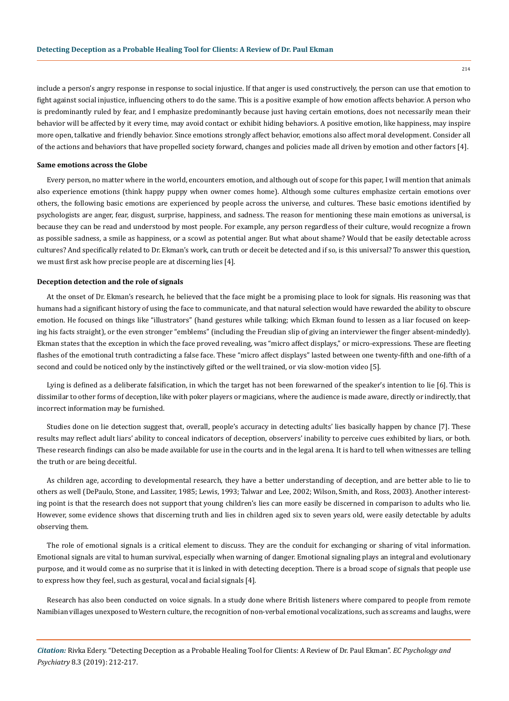include a person's angry response in response to social injustice. If that anger is used constructively, the person can use that emotion to fight against social injustice, influencing others to do the same. This is a positive example of how emotion affects behavior. A person who is predominantly ruled by fear, and I emphasize predominantly because just having certain emotions, does not necessarily mean their behavior will be affected by it every time, may avoid contact or exhibit hiding behaviors. A positive emotion, like happiness, may inspire more open, talkative and friendly behavior. Since emotions strongly affect behavior, emotions also affect moral development. Consider all of the actions and behaviors that have propelled society forward, changes and policies made all driven by emotion and other factors [4].

#### **Same emotions across the Globe**

Every person, no matter where in the world, encounters emotion, and although out of scope for this paper, I will mention that animals also experience emotions (think happy puppy when owner comes home). Although some cultures emphasize certain emotions over others, the following basic emotions are experienced by people across the universe, and cultures. These basic emotions identified by psychologists are anger, fear, disgust, surprise, happiness, and sadness. The reason for mentioning these main emotions as universal, is because they can be read and understood by most people. For example, any person regardless of their culture, would recognize a frown as possible sadness, a smile as happiness, or a scowl as potential anger. But what about shame? Would that be easily detectable across cultures? And specifically related to Dr. Ekman's work, can truth or deceit be detected and if so, is this universal? To answer this question, we must first ask how precise people are at discerning lies [4].

#### **Deception detection and the role of signals**

At the onset of Dr. Ekman's research, he believed that the face might be a promising place to look for signals. His reasoning was that humans had a significant history of using the face to communicate, and that natural selection would have rewarded the ability to obscure emotion. He focused on things like "illustrators" (hand gestures while talking; which Ekman found to lessen as a liar focused on keeping his facts straight), or the even stronger "emblems" (including the Freudian slip of giving an interviewer the finger absent-mindedly). Ekman states that the exception in which the face proved revealing, was "micro affect displays," or micro-expressions. These are fleeting flashes of the emotional truth contradicting a false face. These "micro affect displays" lasted between one twenty-fifth and one-fifth of a second and could be noticed only by the instinctively gifted or the well trained, or via slow-motion video [5].

Lying is defined as a deliberate falsification, in which the target has not been forewarned of the speaker's intention to lie [6]. This is dissimilar to other forms of deception, like with poker players or magicians, where the audience is made aware, directly or indirectly, that incorrect information may be furnished.

Studies done on lie detection suggest that, overall, people's accuracy in detecting adults' lies basically happen by chance [7]. These results may reflect adult liars' ability to conceal indicators of deception, observers' inability to perceive cues exhibited by liars, or both. These research findings can also be made available for use in the courts and in the legal arena. It is hard to tell when witnesses are telling the truth or are being deceitful.

As children age, according to developmental research, they have a better understanding of deception, and are better able to lie to others as well (DePaulo, Stone, and Lassiter, 1985; Lewis, 1993; Talwar and Lee, 2002; Wilson, Smith, and Ross, 2003). Another interesting point is that the research does not support that young children's lies can more easily be discerned in comparison to adults who lie. However, some evidence shows that discerning truth and lies in children aged six to seven years old, were easily detectable by adults observing them.

The role of emotional signals is a critical element to discuss. They are the conduit for exchanging or sharing of vital information. Emotional signals are vital to human survival, especially when warning of danger. Emotional signaling plays an integral and evolutionary purpose, and it would come as no surprise that it is linked in with detecting deception. There is a broad scope of signals that people use to express how they feel, such as gestural, vocal and facial signals [4].

Research has also been conducted on voice signals. In a study done where British listeners where compared to people from remote Namibian villages unexposed to Western culture, the recognition of non-verbal emotional vocalizations, such as screams and laughs, were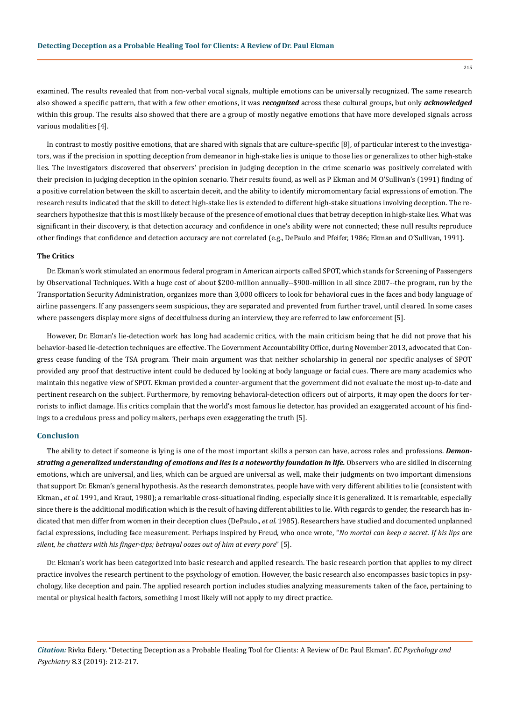examined. The results revealed that from non-verbal vocal signals, multiple emotions can be universally recognized. The same research also showed a specific pattern, that with a few other emotions, it was *recognized* across these cultural groups, but only *acknowledged* within this group. The results also showed that there are a group of mostly negative emotions that have more developed signals across various modalities [4].

In contrast to mostly positive emotions, that are shared with signals that are culture-specific [8], of particular interest to the investigators, was if the precision in spotting deception from demeanor in high-stake lies is unique to those lies or generalizes to other high-stake lies. The investigators discovered that observers' precision in judging deception in the crime scenario was positively correlated with their precision in judging deception in the opinion scenario. Their results found, as well as P Ekman and M O'Sullivan's (1991) finding of a positive correlation between the skill to ascertain deceit, and the ability to identify micromomentary facial expressions of emotion. The research results indicated that the skill to detect high-stake lies is extended to different high-stake situations involving deception. The researchers hypothesize that this is most likely because of the presence of emotional clues that betray deception in high-stake lies. What was significant in their discovery, is that detection accuracy and confidence in one's ability were not connected; these null results reproduce other findings that confidence and detection accuracy are not correlated (e.g., DePaulo and Pfeifer, 1986; Ekman and O'Sullivan, 1991).

#### **The Critics**

Dr. Ekman's work stimulated an enormous federal program in American airports called SPOT, which stands for Screening of Passengers by Observational Techniques. With a huge cost of about \$200-million annually--\$900-million in all since 2007--the program, run by the Transportation Security Administration, organizes more than 3,000 officers to look for behavioral cues in the faces and body language of airline passengers. If any passengers seem suspicious, they are separated and prevented from further travel, until cleared. In some cases where passengers display more signs of deceitfulness during an interview, they are referred to law enforcement [5].

However, Dr. Ekman's lie-detection work has long had academic critics, with the main criticism being that he did not prove that his behavior-based lie-detection techniques are effective. The Government Accountability Office, during November 2013, advocated that Congress cease funding of the TSA program. Their main argument was that neither scholarship in general nor specific analyses of SPOT provided any proof that destructive intent could be deduced by looking at body language or facial cues. There are many academics who maintain this negative view of SPOT. Ekman provided a counter-argument that the government did not evaluate the most up-to-date and pertinent research on the subject. Furthermore, by removing behavioral-detection officers out of airports, it may open the doors for terrorists to inflict damage. His critics complain that the world's most famous lie detector, has provided an exaggerated account of his findings to a credulous press and policy makers, perhaps even exaggerating the truth [5].

## **Conclusion**

The ability to detect if someone is lying is one of the most important skills a person can have, across roles and professions. *Demonstrating a generalized understanding of emotions and lies is a noteworthy foundation in life.* Observers who are skilled in discerning emotions, which are universal, and lies, which can be argued are universal as well, make their judgments on two important dimensions that support Dr. Ekman's general hypothesis. As the research demonstrates, people have with very different abilities to lie (consistent with Ekman., *et al.* 1991, and Kraut, 1980); a remarkable cross-situational finding, especially since it is generalized. It is remarkable, especially since there is the additional modification which is the result of having different abilities to lie. With regards to gender, the research has indicated that men differ from women in their deception clues (DePaulo., *et al.* 1985). Researchers have studied and documented unplanned facial expressions, including face measurement. Perhaps inspired by Freud, who once wrote, "*No mortal can keep a secret. If his lips are silent, he chatters with his finger-tips; betrayal oozes out of him at every pore*" [5].

Dr. Ekman's work has been categorized into basic research and applied research. The basic research portion that applies to my direct practice involves the research pertinent to the psychology of emotion. However, the basic research also encompasses basic topics in psychology, like deception and pain. The applied research portion includes studies analyzing measurements taken of the face, pertaining to mental or physical health factors, something I most likely will not apply to my direct practice.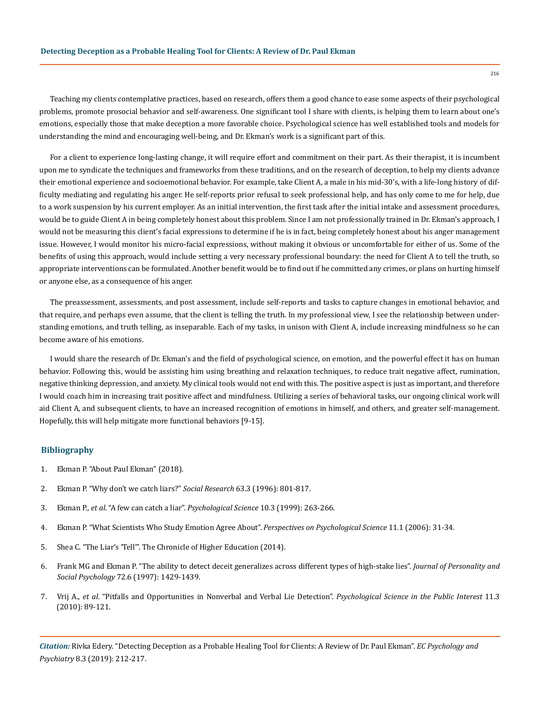Teaching my clients contemplative practices, based on research, offers them a good chance to ease some aspects of their psychological problems, promote prosocial behavior and self-awareness. One significant tool I share with clients, is helping them to learn about one's emotions, especially those that make deception a more favorable choice. Psychological science has well established tools and models for understanding the mind and encouraging well-being, and Dr. Ekman's work is a significant part of this.

For a client to experience long-lasting change, it will require effort and commitment on their part. As their therapist, it is incumbent upon me to syndicate the techniques and frameworks from these traditions, and on the research of deception, to help my clients advance their emotional experience and socioemotional behavior. For example, take Client A, a male in his mid-30's, with a life-long history of difficulty mediating and regulating his anger. He self-reports prior refusal to seek professional help, and has only come to me for help, due to a work suspension by his current employer. As an initial intervention, the first task after the initial intake and assessment procedures, would be to guide Client A in being completely honest about this problem. Since I am not professionally trained in Dr. Ekman's approach, I would not be measuring this client's facial expressions to determine if he is in fact, being completely honest about his anger management issue. However, I would monitor his micro-facial expressions, without making it obvious or uncomfortable for either of us. Some of the benefits of using this approach, would include setting a very necessary professional boundary: the need for Client A to tell the truth, so appropriate interventions can be formulated. Another benefit would be to find out if he committed any crimes, or plans on hurting himself or anyone else, as a consequence of his anger.

The preassessment, assessments, and post assessment, include self-reports and tasks to capture changes in emotional behavior, and that require, and perhaps even assume, that the client is telling the truth. In my professional view, I see the relationship between understanding emotions, and truth telling, as inseparable. Each of my tasks, in unison with Client A, include increasing mindfulness so he can become aware of his emotions.

I would share the research of Dr. Ekman's and the field of psychological science, on emotion, and the powerful effect it has on human behavior. Following this, would be assisting him using breathing and relaxation techniques, to reduce trait negative affect, rumination, negative thinking depression, and anxiety. My clinical tools would not end with this. The positive aspect is just as important, and therefore I would coach him in increasing trait positive affect and mindfulness. Utilizing a series of behavioral tasks, our ongoing clinical work will aid Client A, and subsequent clients, to have an increased recognition of emotions in himself, and others, and greater self-management. Hopefully, this will help mitigate more functional behaviors [9-15].

#### **Bibliography**

- 1. [Ekman P. "About Paul Ekman" \(2018\).](https://www.paulekman.com/about/paul-ekman/)
- 2. [Ekman P. "Why don't we catch liars?"](https://www.jstor.org/stable/40972316) *Social Research* 63.3 (1996): 801-817.
- 3. Ekman P., *et al*. "A few can catch a liar". *[Psychological Science](https://www.paulekman.com/wp-content/uploads/2013/07/A-Few-Can-Catch-A-Liar.pdf)* 10.3 (1999): 263-266.
- 4. [Ekman P. "What Scientists Who Study Emotion Agree About".](https://www.ncbi.nlm.nih.gov/pubmed/26817724) *Perspectives on Psychological Science* 11.1 (2006): 31-34.
- 5. [Shea C. "The Liar's 'Tell'". The Chronicle of Higher Education \(2014\).](https://www.chronicle.com/article/The-Liars-Tell/149261)
- 6. [Frank MG and Ekman P. "The ability to detect deceit generalizes across different types of high-stake lies".](https://www.ncbi.nlm.nih.gov/pubmed/9177024) *Journal of Personality and Social Psychology* [72.6 \(1997\): 1429-1439.](https://www.ncbi.nlm.nih.gov/pubmed/9177024)
- 7. Vrij A., *et al*[. "Pitfalls and Opportunities in Nonverbal and Verbal Lie Detection".](https://www.ncbi.nlm.nih.gov/pubmed/26168416) *Psychological Science in the Public Interest* 11.3 [\(2010\): 89-121.](https://www.ncbi.nlm.nih.gov/pubmed/26168416)